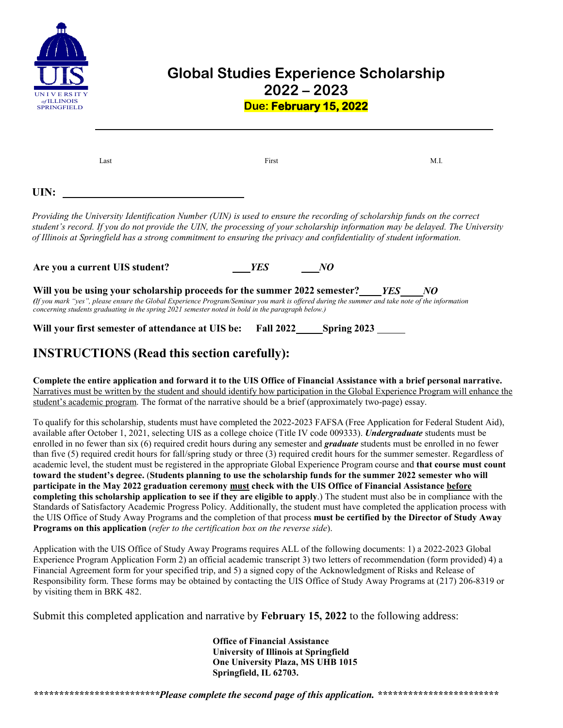

## **Global Studies Experience Scholarship 2022 – 2023 Due: February 15, 2022**

| Last | First                                                                                                                                                                                                                                                                                                                                                                                | M.I. |
|------|--------------------------------------------------------------------------------------------------------------------------------------------------------------------------------------------------------------------------------------------------------------------------------------------------------------------------------------------------------------------------------------|------|
| UIN: |                                                                                                                                                                                                                                                                                                                                                                                      |      |
|      | Providing the University Identification Number (UIN) is used to ensure the recording of scholarship funds on the correct<br>student's record. If you do not provide the UIN, the processing of your scholarship information may be delayed. The University<br>of Illinois at Springfield has a strong commitment to ensuring the privacy and confidentiality of student information. |      |

**Are you a current UIS student?** *YES NO*

**Will you be using your scholarship proceeds for the summer 2022 semester?** *YES NO (If you mark "yes", please ensure the Global Experience Program/Seminar you mark is offered during the summer and take note of the information concerning students graduating in the spring 2021 semester noted in bold in the paragraph below.)*

**Will your first semester of attendance at UIS be: Fall 2022 Spring 2023**

## **INSTRUCTIONS (Read this section carefully):**

**Complete the entire application and forward it to the UIS Office of Financial Assistance with a brief personal narrative.** Narratives must be written by the student and should identify how participation in the Global Experience Program will enhance the student's academic program. The format of the narrative should be a brief (approximately two-page) essay.

To qualify for this scholarship, students must have completed the 2022-2023 FAFSA (Free Application for Federal Student Aid), available after October 1, 2021, selecting UIS as a college choice (Title IV code 009333). *Undergraduate* students must be enrolled in no fewer than six (6) required credit hours during any semester and *graduate* students must be enrolled in no fewer than five (5) required credit hours for fall/spring study or three (3) required credit hours for the summer semester. Regardless of academic level, the student must be registered in the appropriate Global Experience Program course and **that course must count toward the student's degree.** (**Students planning to use the scholarship funds for the summer 2022 semester who will participate in the May 2022 graduation ceremony must check with the UIS Office of Financial Assistance before completing this scholarship application to see if they are eligible to apply**.) The student must also be in compliance with the Standards of Satisfactory Academic Progress Policy. Additionally, the student must have completed the application process with the UIS Office of Study Away Programs and the completion of that process **must be certified by the Director of Study Away Programs on this application** (*refer to the certification box on the reverse side*).

Application with the UIS Office of Study Away Programs requires ALL of the following documents: 1) a 2022-2023 Global Experience Program Application Form 2) an official academic transcript 3) two letters of recommendation (form provided) 4) a Financial Agreement form for your specified trip, and 5) a signed copy of the Acknowledgment of Risks and Release of Responsibility form. These forms may be obtained by contacting the UIS Office of Study Away Programs at (217) 206-8319 or by visiting them in BRK 482.

Submit this completed application and narrative by **February 15, 2022** to the following address:

**Office of Financial Assistance University of Illinois at Springfield One University Plaza, MS UHB 1015 Springfield, IL 62703.**

*\*\*\*\*\*\*\*\*\*\*\*\*\*\*\*\*\*\*\*\*\*\*\*\*\*Please complete the second page of this application. \*\*\*\*\*\*\*\*\*\*\*\*\*\*\*\*\*\*\*\*\*\*\*\**